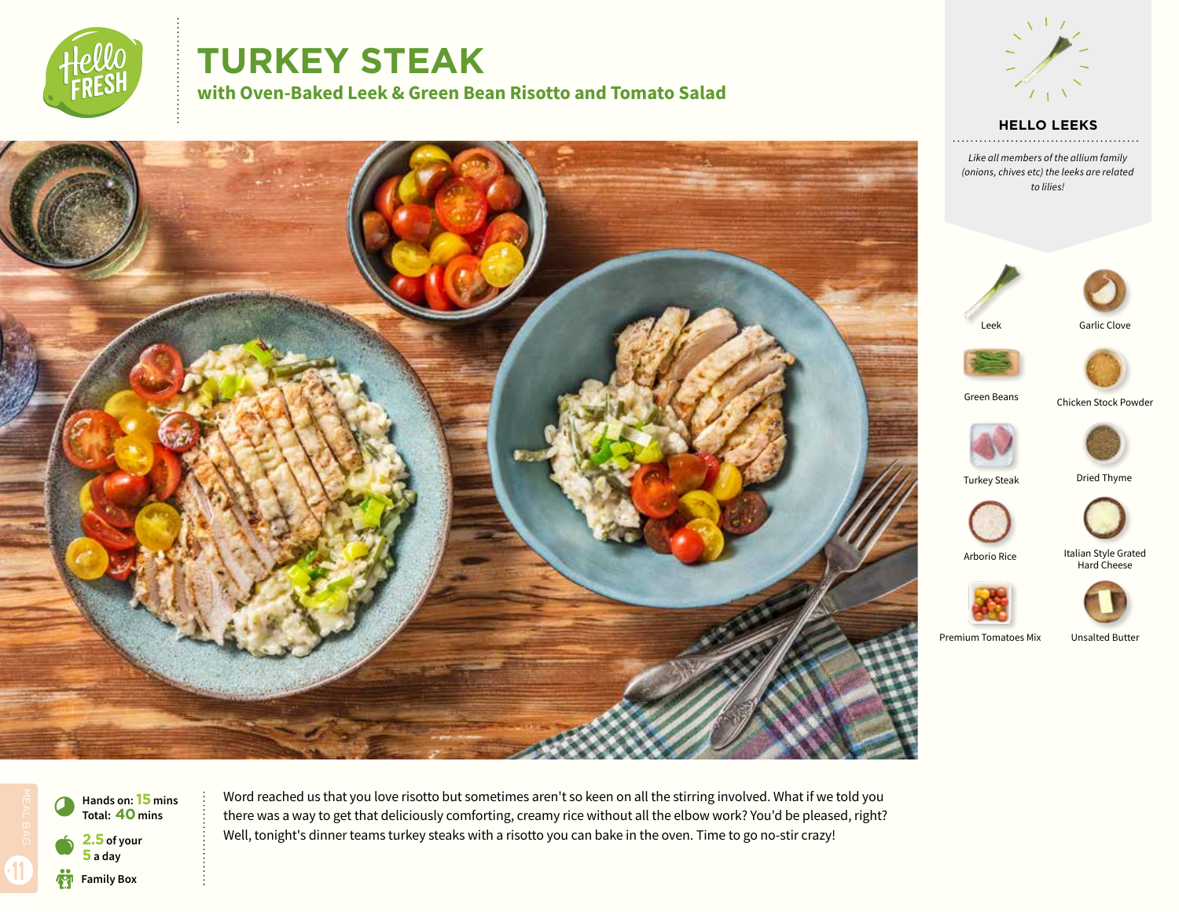

# **TURKEY STEAK**

**with Oven-Baked Leek & Green Bean Risotto and Tomato Salad**



**HELLO LEEKS**

. . . . . . . . . . . . . . . . .

*Like all members of the allium family (onions, chives etc) the leeks are related to lilies!*









Green Beans

Chicken Stock Powder





Dried Thyme



Arborio Rice

Italian Style Grated Hard Cheese



Premium Tomatoes Mix

Unsalted Butter



 $\bullet$ **Hands on: 15** mins<br>Total: **40** mins **2.5 of your 5 a day Family Box** 

Word reached us that you love risotto but sometimes aren't so keen on all the stirring involved. What if we told you there was a way to get that deliciously comforting, creamy rice without all the elbow work? You'd be pleased, right? Well, tonight's dinner teams turkey steaks with a risotto you can bake in the oven. Time to go no-stir crazy!